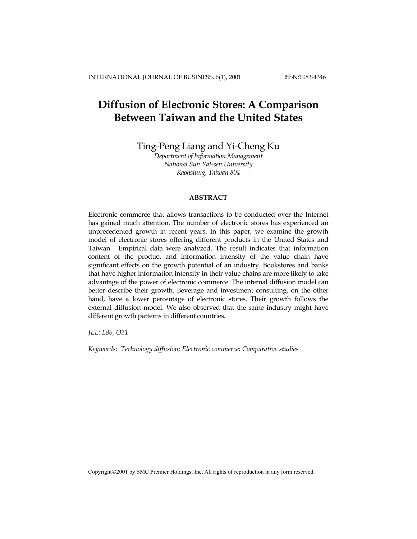# **Diffusion of Electronic Stores: A Comparison Between Taiwan and the United States**

Ting-Peng Liang and Yi-Cheng Ku

*Department of Information Management National Sun Yat-sen University Kaohsiung, Taiwan 804*

## **ABSTRACT**

Electronic commerce that allows transactions to be conducted over the Internet has gained much attention. The number of electronic stores has experienced an unprecedented growth in recent years. In this paper, we examine the growth model of electronic stores offering different products in the United States and Taiwan. Empirical data were analyzed. The result indicates that information content of the product and information intensity of the value chain have significant effects on the growth potential of an industry. Bookstores and banks that have higher information intensity in their value chains are more likely to take advantage of the power of electronic commerce. The internal diffusion model can better describe their growth. Beverage and investment consulting, on the other hand, have a lower percentage of electronic stores. Their growth follows the external diffusion model. We also observed that the same industry might have different growth patterns in different countries.

*JEL: L86, O31* 

*Keywords: Technology diffusion; Electronic commerce; Comparative studies* 

Copyright©2001 by SMC Premier Holdings, Inc. All rights of reproduction in any form reserved.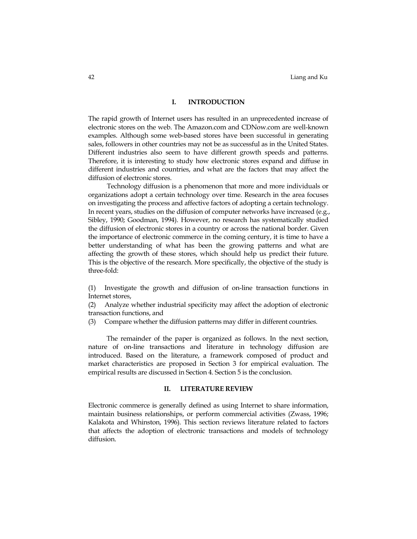## **I. INTRODUCTION**

The rapid growth of Internet users has resulted in an unprecedented increase of electronic stores on the web. The Amazon.com and CDNow.com are well-known examples. Although some web-based stores have been successful in generating sales, followers in other countries may not be as successful as in the United States. Different industries also seem to have different growth speeds and patterns. Therefore, it is interesting to study how electronic stores expand and diffuse in different industries and countries, and what are the factors that may affect the diffusion of electronic stores.

Technology diffusion is a phenomenon that more and more individuals or organizations adopt a certain technology over time. Research in the area focuses on investigating the process and affective factors of adopting a certain technology. In recent years, studies on the diffusion of computer networks have increased (e.g., Sibley, 1990; Goodman, 1994). However, no research has systematically studied the diffusion of electronic stores in a country or across the national border. Given the importance of electronic commerce in the coming century, it is time to have a better understanding of what has been the growing patterns and what are affecting the growth of these stores, which should help us predict their future. This is the objective of the research. More specifically, the objective of the study is three-fold:

(1) Investigate the growth and diffusion of on-line transaction functions in Internet stores,

(2) Analyze whether industrial specificity may affect the adoption of electronic transaction functions, and

(3) Compare whether the diffusion patterns may differ in different countries.

The remainder of the paper is organized as follows. In the next section, nature of on-line transactions and literature in technology diffusion are introduced. Based on the literature, a framework composed of product and market characteristics are proposed in Section 3 for empirical evaluation. The empirical results are discussed in Section 4. Section 5 is the conclusion.

#### **II. LITERATURE REVIEW**

Electronic commerce is generally defined as using Internet to share information, maintain business relationships, or perform commercial activities (Zwass, 1996; Kalakota and Whinston, 1996). This section reviews literature related to factors that affects the adoption of electronic transactions and models of technology diffusion.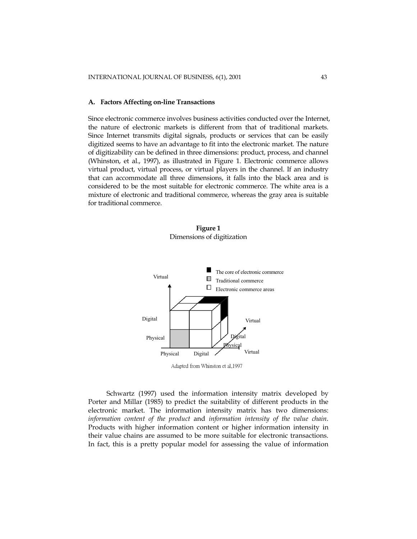#### **A. Factors Affecting on-line Transactions**

Since electronic commerce involves business activities conducted over the Internet, the nature of electronic markets is different from that of traditional markets. Since Internet transmits digital signals, products or services that can be easily digitized seems to have an advantage to fit into the electronic market. The nature of digitizability can be defined in three dimensions: product, process, and channel (Whinston, et al., 1997), as illustrated in Figure 1. Electronic commerce allows virtual product, virtual process, or virtual players in the channel. If an industry that can accommodate all three dimensions, it falls into the black area and is considered to be the most suitable for electronic commerce. The white area is a mixture of electronic and traditional commerce, whereas the gray area is suitable for traditional commerce.





Adapted from Whinston et al,1997

Schwartz (1997) used the information intensity matrix developed by Porter and Millar (1985) to predict the suitability of different products in the electronic market. The information intensity matrix has two dimensions: *information content of the product* and *information intensity of the value chain*. Products with higher information content or higher information intensity in their value chains are assumed to be more suitable for electronic transactions. In fact, this is a pretty popular model for assessing the value of information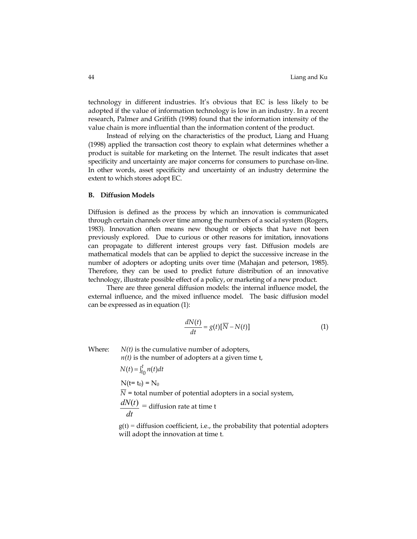technology in different industries. It's obvious that EC is less likely to be adopted if the value of information technology is low in an industry. In a recent research, Palmer and Griffith (1998) found that the information intensity of the value chain is more influential than the information content of the product.

Instead of relying on the characteristics of the product, Liang and Huang (1998) applied the transaction cost theory to explain what determines whether a product is suitable for marketing on the Internet. The result indicates that asset specificity and uncertainty are major concerns for consumers to purchase on-line. In other words, asset specificity and uncertainty of an industry determine the extent to which stores adopt EC.

#### **B. Diffusion Models**

Diffusion is defined as the process by which an innovation is communicated through certain channels over time among the numbers of a social system (Rogers, 1983). Innovation often means new thought or objects that have not been previously explored. Due to curious or other reasons for imitation, innovations can propagate to different interest groups very fast. Diffusion models are mathematical models that can be applied to depict the successive increase in the number of adopters or adopting units over time (Mahajan and peterson, 1985). Therefore, they can be used to predict future distribution of an innovative technology, illustrate possible effect of a policy, or marketing of a new product.

There are three general diffusion models: the internal influence model, the external influence, and the mixed influence model. The basic diffusion model can be expressed as in equation (1):

$$
\frac{dN(t)}{dt} = g(t)[\overline{N} - N(t)]\tag{1}
$$

Where: *N(t)* is the cumulative number of adopters,

*n(t)* is the number of adopters at a given time t,

$$
N(t) = \int_{t_0}^{t} n(t)dt
$$
  
\n
$$
N(t = t_0) = N_0
$$
  
\n
$$
\overline{N} = \text{total number of potential adopters in a social system,}
$$
  
\n
$$
\frac{dN(t)}{dt} = \text{diffusion rate at time t}
$$

 $g(t)$  = diffusion coefficient, i.e., the probability that potential adopters will adopt the innovation at time t.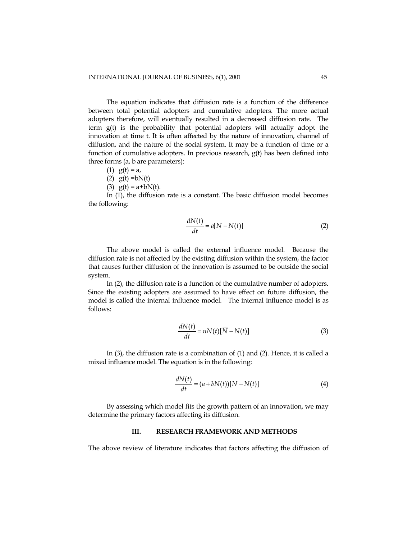The equation indicates that diffusion rate is a function of the difference between total potential adopters and cumulative adopters. The more actual adopters therefore, will eventually resulted in a decreased diffusion rate. The term g(t) is the probability that potential adopters will actually adopt the innovation at time t. It is often affected by the nature of innovation, channel of diffusion, and the nature of the social system. It may be a function of time or a function of cumulative adopters. In previous research, g(t) has been defined into three forms (a, b are parameters):

- (1)  $g(t) = a$ ,
- (2)  $g(t) = bN(t)$
- (3)  $g(t) = a + bN(t)$ .

In (1), the diffusion rate is a constant. The basic diffusion model becomes the following:

$$
\frac{dN(t)}{dt} = a[\overline{N} - N(t)]\tag{2}
$$

The above model is called the external influence model. Because the diffusion rate is not affected by the existing diffusion within the system, the factor that causes further diffusion of the innovation is assumed to be outside the social system.

In (2), the diffusion rate is a function of the cumulative number of adopters. Since the existing adopters are assumed to have effect on future diffusion, the model is called the internal influence model. The internal influence model is as follows:

$$
\frac{dN(t)}{dt} = nN(t)[\overline{N} - N(t)]\tag{3}
$$

In (3), the diffusion rate is a combination of (1) and (2). Hence, it is called a mixed influence model. The equation is in the following:

$$
\frac{dN(t)}{dt} = (a + bN(t))[\overline{N} - N(t)]\tag{4}
$$

By assessing which model fits the growth pattern of an innovation, we may determine the primary factors affecting its diffusion.

## **III. RESEARCH FRAMEWORK AND METHODS**

The above review of literature indicates that factors affecting the diffusion of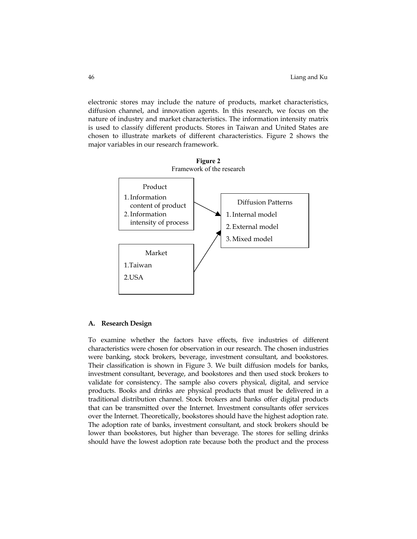electronic stores may include the nature of products, market characteristics, diffusion channel, and innovation agents. In this research, we focus on the nature of industry and market characteristics. The information intensity matrix is used to classify different products. Stores in Taiwan and United States are chosen to illustrate markets of different characteristics. Figure 2 shows the major variables in our research framework.



#### **A. Research Design**

To examine whether the factors have effects, five industries of different characteristics were chosen for observation in our research. The chosen industries were banking, stock brokers, beverage, investment consultant, and bookstores. Their classification is shown in Figure 3. We built diffusion models for banks, investment consultant, beverage, and bookstores and then used stock brokers to validate for consistency. The sample also covers physical, digital, and service products. Books and drinks are physical products that must be delivered in a traditional distribution channel. Stock brokers and banks offer digital products that can be transmitted over the Internet. Investment consultants offer services over the Internet. Theoretically, bookstores should have the highest adoption rate. The adoption rate of banks, investment consultant, and stock brokers should be lower than bookstores, but higher than beverage. The stores for selling drinks should have the lowest adoption rate because both the product and the process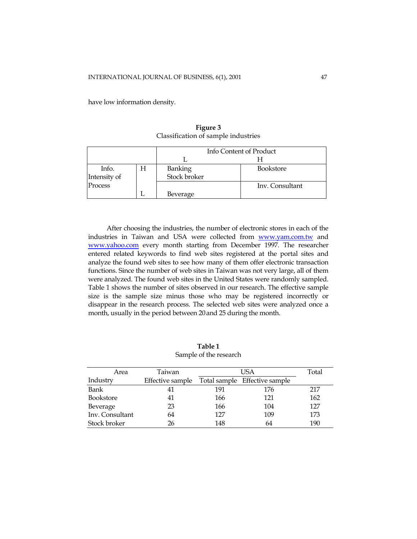have low information density.

Info Content of Product L H Banking Stock broker Info. | H | Banking | Bookstore Intensity of Process H L Beverage Inv. Consultant

**Figure 3**  Classification of sample industries

After choosing the industries, the number of electronic stores in each of the industries in Taiwan and USA were collected from [www.yam.com.tw](http://www.yam.com.tw/) and [www.yahoo.com](http://www.yahoo.com/) every month starting from December 1997. The researcher entered related keywords to find web sites registered at the portal sites and analyze the found web sites to see how many of them offer electronic transaction functions. Since the number of web sites in Taiwan was not very large, all of them were analyzed. The found web sites in the United States were randomly sampled. Table 1 shows the number of sites observed in our research. The effective sample size is the sample size minus those who may be registered incorrectly or disappear in the research process. The selected web sites were analyzed once a month, usually in the period between 20and 25 during the month.

| Salliple of the research |                  |     |                               |     |  |  |
|--------------------------|------------------|-----|-------------------------------|-----|--|--|
| Area                     | Taiwan           |     | Total                         |     |  |  |
| Industry                 | Effective sample |     | Total sample Effective sample |     |  |  |
| Bank                     | 41               | 191 | 176                           | 217 |  |  |
| <b>Bookstore</b>         | 41               | 166 | 121                           | 162 |  |  |
| Beverage                 | 23               | 166 | 104                           | 127 |  |  |
| Inv. Consultant          | 64               | 127 | 109                           | 173 |  |  |
| Stock broker             | 26               | 148 | 64                            | 190 |  |  |

**Table 1**  Sample of the research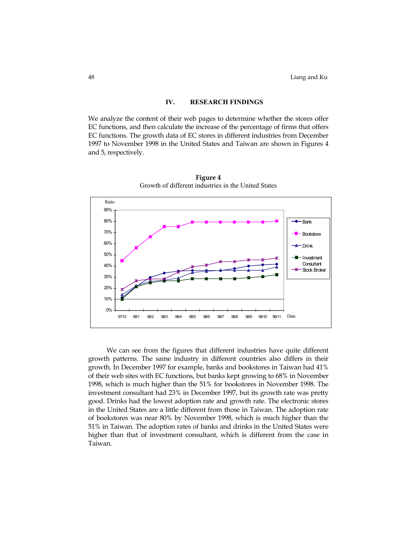## **IV. RESEARCH FINDINGS**

We analyze the content of their web pages to determine whether the stores offer EC functions, and then calculate the increase of the percentage of firms that offers EC functions. The growth data of EC stores in different industries from December 1997 to November 1998 in the United States and Taiwan are shown in Figures 4 and 5, respectively.



**Figure 4**  Growth of different industries in the United States

We can see from the figures that different industries have quite different growth patterns. The same industry in different countries also differs in their growth. In December 1997 for example, banks and bookstores in Taiwan had 41% of their web sites with EC functions, but banks kept growing to 68% in November 1998, which is much higher than the 51% for bookstores in November 1998. The investment consultant had 23% in December 1997, but its growth rate was pretty good. Drinks had the lowest adoption rate and growth rate. The electronic stores in the United States are a little different from those in Taiwan. The adoption rate of bookstores was near 80% by November 1998, which is much higher than the 51% in Taiwan. The adoption rates of banks and drinks in the United States were higher than that of investment consultant, which is different from the case in Taiwan.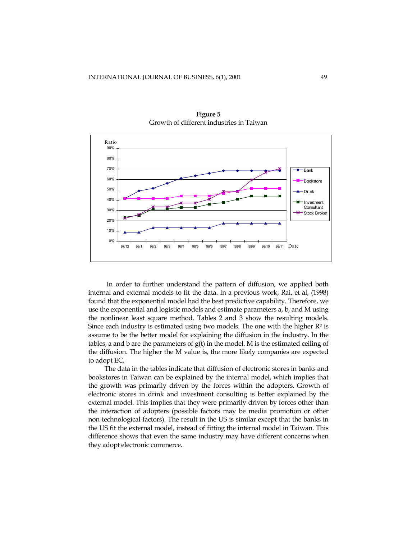

**Figure 5**  Growth of different industries in Taiwan

In order to further understand the pattern of diffusion, we applied both internal and external models to fit the data. In a previous work, Rai, et al, (1998) found that the exponential model had the best predictive capability. Therefore, we use the exponential and logistic models and estimate parameters a, b, and M using the nonlinear least square method. Tables 2 and 3 show the resulting models. Since each industry is estimated using two models. The one with the higher  $R^2$  is assume to be the better model for explaining the diffusion in the industry. In the tables, a and b are the parameters of  $g(t)$  in the model. M is the estimated ceiling of the diffusion. The higher the M value is, the more likely companies are expected to adopt EC.

The data in the tables indicate that diffusion of electronic stores in banks and bookstores in Taiwan can be explained by the internal model, which implies that the growth was primarily driven by the forces within the adopters. Growth of electronic stores in drink and investment consulting is better explained by the external model. This implies that they were primarily driven by forces other than the interaction of adopters (possible factors may be media promotion or other non-technological factors). The result in the US is similar except that the banks in the US fit the external model, instead of fitting the internal model in Taiwan. This difference shows that even the same industry may have different concerns when they adopt electronic commerce.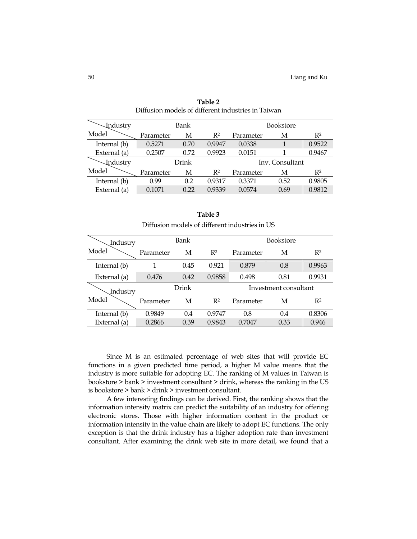| <b>Industry</b> | <b>Bookstore</b><br>Bank |      |                 |           |      |                |
|-----------------|--------------------------|------|-----------------|-----------|------|----------------|
| Model           | Parameter                | М    | R <sup>2</sup>  | Parameter | М    | R <sup>2</sup> |
| Internal (b)    | 0.5271                   | 0.70 | 0.9947          | 0.0338    |      | 0.9522         |
| External (a)    | 0.2507                   | 0.72 | 0.9923          | 0.0151    |      | 0.9467         |
| <b>Industry</b> | Drink                    |      | Inv. Consultant |           |      |                |
| Model           | Parameter                | М    | R <sup>2</sup>  | Parameter | М    | R <sup>2</sup> |
| Internal (b)    | 0.99                     | 0.2  | 0.9317          | 0.3371    | 0.52 | 0.9805         |
| External (a)    | 0.1071                   | 0.22 | 0.9339          | 0.0574    | 0.69 | 0.9812         |

**Table 2**  Diffusion models of different industries in Taiwan

| Table 3                                        |
|------------------------------------------------|
| Diffusion models of different industries in US |

| Industry     | Bank      |      |                | Bookstore             |      |                |
|--------------|-----------|------|----------------|-----------------------|------|----------------|
| Model        | Parameter | М    | $R^2$          | Parameter             | М    | R <sup>2</sup> |
| Internal (b) | 1         | 0.45 | 0.921          | 0.879                 | 0.8  | 0.9963         |
| External (a) | 0.476     | 0.42 | 0.9858         | 0.498                 | 0.81 | 0.9931         |
| Industry     | Drink     |      |                | Investment consultant |      |                |
| Model        | Parameter | М    | R <sup>2</sup> | Parameter             | М    | R <sup>2</sup> |
| Internal (b) | 0.9849    | 0.4  | 0.9747         | 0.8                   | 0.4  | 0.8306         |
| External (a) | 0.2866    | 0.39 | 0.9843         | 0.7047                | 0.33 | 0.946          |

Since M is an estimated percentage of web sites that will provide EC functions in a given predicted time period, a higher M value means that the industry is more suitable for adopting EC. The ranking of M values in Taiwan is bookstore > bank > investment consultant > drink, whereas the ranking in the US is bookstore > bank > drink > investment consultant.

A few interesting findings can be derived. First, the ranking shows that the information intensity matrix can predict the suitability of an industry for offering electronic stores. Those with higher information content in the product or information intensity in the value chain are likely to adopt EC functions. The only exception is that the drink industry has a higher adoption rate than investment consultant. After examining the drink web site in more detail, we found that a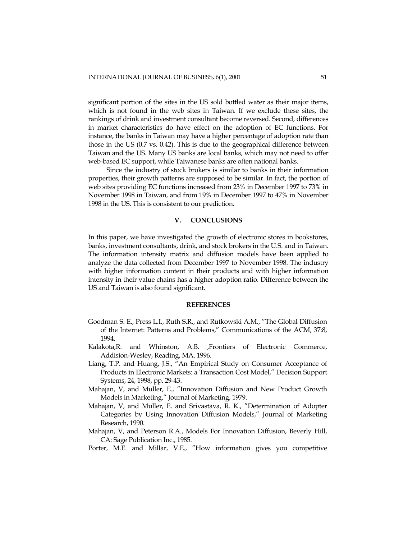significant portion of the sites in the US sold bottled water as their major items, which is not found in the web sites in Taiwan. If we exclude these sites, the rankings of drink and investment consultant become reversed. Second, differences in market characteristics do have effect on the adoption of EC functions. For instance, the banks in Taiwan may have a higher percentage of adoption rate than those in the US (0.7 vs. 0.42). This is due to the geographical difference between Taiwan and the US. Many US banks are local banks, which may not need to offer web-based EC support, while Taiwanese banks are often national banks.

Since the industry of stock brokers is similar to banks in their information properties, their growth patterns are supposed to be similar. In fact, the portion of web sites providing EC functions increased from 23% in December 1997 to 73% in November 1998 in Taiwan, and from 19% in December 1997 to 47% in November 1998 in the US. This is consistent to our prediction.

## **V. CONCLUSIONS**

In this paper, we have investigated the growth of electronic stores in bookstores, banks, investment consultants, drink, and stock brokers in the U.S. and in Taiwan. The information intensity matrix and diffusion models have been applied to analyze the data collected from December 1997 to November 1998. The industry with higher information content in their products and with higher information intensity in their value chains has a higher adoption ratio. Difference between the US and Taiwan is also found significant.

## **REFERENCES**

- Goodman S. E., Press L.I., Ruth S.R., and Rutkowski A.M., "The Global Diffusion of the Internet: Patterns and Problems," Communications of the ACM, 37:8, 1994.
- Kalakota,R. and Whinston, A.B. ,Frontiers of Electronic Commerce, Addision-Wesley, Reading, MA. 1996.
- Liang, T.P. and Huang, J.S., "An Empirical Study on Consumer Acceptance of Products in Electronic Markets: a Transaction Cost Model," Decision Support Systems, 24, 1998, pp. 29-43.
- Mahajan, V, and Muller, E., "Innovation Diffusion and New Product Growth Models in Marketing," Journal of Marketing, 1979.
- Mahajan, V, and Muller, E. and Srivastava, R. K., "Determination of Adopter Categories by Using Innovation Diffusion Models," Journal of Marketing Research, 1990.
- Mahajan, V, and Peterson R.A., Models For Innovation Diffusion, Beverly Hill, CA: Sage Publication Inc., 1985.
- Porter, M.E. and Millar, V.E., "How information gives you competitive